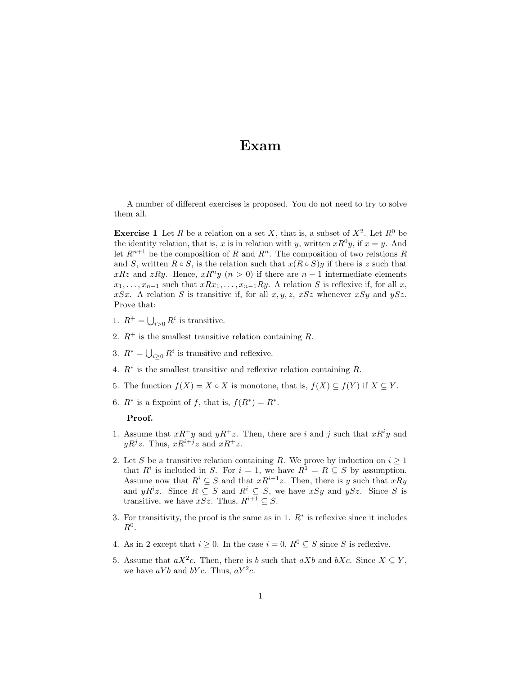## Exam

A number of different exercises is proposed. You do not need to try to solve them all.

**Exercise 1** Let R be a relation on a set X, that is, a subset of  $X^2$ . Let  $R^0$  be the identity relation, that is, x is in relation with y, written  $xR^0y$ , if  $x = y$ . And let  $R^{n+1}$  be the composition of R and  $R^n$ . The composition of two relations R and S, written  $R \circ S$ , is the relation such that  $x(R \circ S)y$  if there is z such that xRz and zRy. Hence,  $xR^n y$   $(n > 0)$  if there are  $n - 1$  intermediate elements  $x_1, \ldots, x_{n-1}$  such that  $xRx_1, \ldots, x_{n-1}Ry$ . A relation S is reflexive if, for all x, xSx. A relation S is transitive if, for all  $x, y, z, xSz$  whenever  $xSy$  and  $ySz$ . Prove that:

- 1.  $R^+ = \bigcup_{i>0} R^i$  is transitive.
- 2.  $R^+$  is the smallest transitive relation containing R.
- 3.  $R^* = \bigcup_{i \geq 0} R^i$  is transitive and reflexive.
- 4.  $R^*$  is the smallest transitive and reflexive relation containing  $R$ .
- 5. The function  $f(X) = X \circ X$  is monotone, that is,  $f(X) \subseteq f(Y)$  if  $X \subseteq Y$ .
- 6.  $R^*$  is a fixpoint of f, that is,  $f(R^*) = R^*$ .

## Proof.

- 1. Assume that  $xR^+y$  and  $yR^+z$ . Then, there are i and j such that  $xR^iy$  and  $yR^jz$ . Thus,  $xR^{i+j}z$  and  $xR^+z$ .
- 2. Let S be a transitive relation containing R. We prove by induction on  $i \geq 1$ that  $R^i$  is included in S. For  $i = 1$ , we have  $R^1 = R \subseteq S$  by assumption. Assume now that  $R^i \subseteq S$  and that  $xR^{i+1}z$ . Then, there is y such that  $xRy$ and  $yR^iz$ . Since  $R \subseteq S$  and  $R^i \subseteq S$ , we have  $xSy$  and  $ySz$ . Since S is transitive, we have xSz. Thus,  $R^{i+1} \subseteq S$ .
- 3. For transitivity, the proof is the same as in 1.  $R^*$  is reflexive since it includes  $R^0$ .
- 4. As in 2 except that  $i \geq 0$ . In the case  $i = 0$ ,  $R^0 \subseteq S$  since S is reflexive.
- 5. Assume that  $aX^2c$ . Then, there is b such that  $aXb$  and  $bXc$ . Since  $X \subseteq Y$ , we have  $aYb$  and  $bYc$ . Thus,  $aY^2c$ .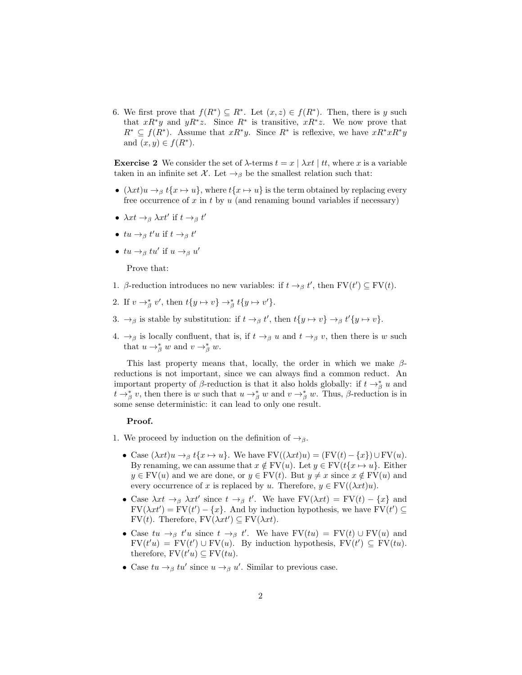6. We first prove that  $f(R^*) \subseteq R^*$ . Let  $(x, z) \in f(R^*)$ . Then, there is y such that  $xR^*y$  and  $yR^*z$ . Since  $R^*$  is transitive,  $xR^*z$ . We now prove that  $R^* \subseteq f(R^*)$ . Assume that  $xR^*y$ . Since  $R^*$  is reflexive, we have  $xR^*xR^*y$ and  $(x, y) \in f(R^*)$ .

Exercise 2 We consider the set of  $\lambda$ -terms  $t = x \mid \lambda xt \mid tt$ , where x is a variable taken in an infinite set X. Let  $\rightarrow_{\beta}$  be the smallest relation such that:

- ( $\lambda x t$ )u  $\rightarrow$ <sub>β</sub> t{x  $\rightarrow$  u}, where t{x  $\rightarrow$  u} is the term obtained by replacing every free occurrence of  $x$  in  $t$  by  $u$  (and renaming bound variables if necessary)
- $\lambda xt \rightarrow_{\beta} \lambda xt'$  if  $t \rightarrow_{\beta} t'$
- $tu \rightarrow_{\beta} t'u$  if  $t \rightarrow_{\beta} t'$
- $tu \rightarrow_{\beta} tu'$  if  $u \rightarrow_{\beta} u'$

Prove that:

- 1. β-reduction introduces no new variables: if  $t \rightarrow_{\beta} t'$ , then FV( $t'$ ) ⊆ FV( $t$ ).
- 2. If  $v \rightarrow_{\beta}^* v'$ , then  $t\{y \mapsto v\} \rightarrow_{\beta}^* t\{y \mapsto v'\}$ .
- 3.  $\rightarrow_{\beta}$  is stable by substitution: if  $t \rightarrow_{\beta} t'$ , then  $t \{y \mapsto v\} \rightarrow_{\beta} t' \{y \mapsto v\}$ .
- 4.  $\rightarrow_{\beta}$  is locally confluent, that is, if  $t \rightarrow_{\beta} u$  and  $t \rightarrow_{\beta} v$ , then there is w such that  $u \to_{\beta}^* w$  and  $v \to_{\beta}^* w$ .

This last property means that, locally, the order in which we make  $\beta$ reductions is not important, since we can always find a common reduct. An important property of  $\beta$ -reduction is that it also holds globally: if  $t \rightarrow_{\beta}^{*} u$  and  $t \to_{\beta}^* v$ , then there is w such that  $u \to_{\beta}^* w$  and  $v \to_{\beta}^* w$ . Thus,  $\beta$ -reduction is in some sense deterministic: it can lead to only one result.

## Proof.

- 1. We proceed by induction on the definition of  $\rightarrow_{\beta}$ .
	- Case  $(\lambda x t)u \to_\beta t\{x \mapsto u\}$ . We have  $\text{FV}((\lambda x t)u) = (\text{FV}(t) \{x\}) \cup \text{FV}(u)$ . By renaming, we can assume that  $x \notin FV(u)$ . Let  $y \in FV(t\{x \mapsto u\})$ . Either  $y \in FV(u)$  and we are done, or  $y \in FV(t)$ . But  $y \neq x$  since  $x \notin FV(u)$  and every occurrence of x is replaced by u. Therefore,  $y \in \mathrm{FV}((\lambda x t)u)$ .
	- Case  $\lambda xt \to_{\beta} \lambda xt'$  since  $t \to_{\beta} t'$ . We have  $FV(\lambda xt) = FV(t) \{x\}$  and  $FV(\lambda x t') = FV(t') - \{x\}$ . And by induction hypothesis, we have  $FV(t') \subseteq$  $FV(t)$ . Therefore,  $FV(\lambda x t') \subseteq FV(\lambda x t)$ .
	- Case  $tu \to_\beta t'u$  since  $t \to_\beta t'$ . We have  $FV(tu) = FV(t) \cup FV(u)$  and  $FV(t'u) = FV(t') \cup FV(u)$ . By induction hypothesis,  $FV(t') \subseteq FV(tu)$ . therefore,  $\text{FV}(t'u) \subseteq \text{FV}(tu)$ .
	- Case  $tu \to_\beta tv'$  since  $u \to_\beta u'$ . Similar to previous case.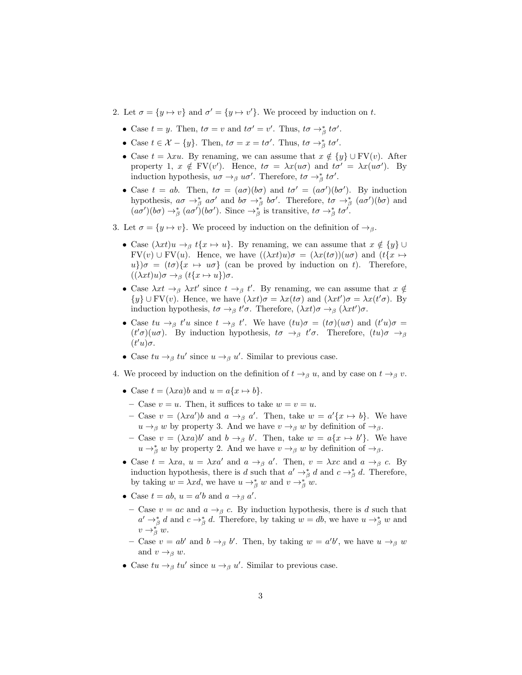- 2. Let  $\sigma = \{y \mapsto v\}$  and  $\sigma' = \{y \mapsto v'\}$ . We proceed by induction on t.
	- Case  $t = y$ . Then,  $t\sigma = v$  and  $t\sigma' = v'$ . Thus,  $t\sigma \rightarrow_{\beta}^* t\sigma'$ .
	- Case  $t \in \mathcal{X} \{y\}$ . Then,  $t\sigma = x = t\sigma'$ . Thus,  $t\sigma \rightarrow_{\beta}^* t\sigma'$ .
	- Case  $t = \lambda x u$ . By renaming, we can assume that  $x \notin \{y\} \cup FV(v)$ . After property 1,  $x \notin FV(v')$ . Hence,  $t\sigma = \lambda x(u\sigma)$  and  $t\sigma' = \lambda x(u\sigma')$ . By induction hypothesis,  $u\sigma \rightarrow_{\beta} u\sigma'$ . Therefore,  $t\sigma \rightarrow_{\beta}^* t\sigma'$ .
	- Case  $t = ab$ . Then,  $t\sigma = (a\sigma)(b\sigma)$  and  $t\sigma' = (a\sigma')(b\sigma')$ . By induction hypothesis,  $a\sigma \to_{\beta}^* a\sigma'$  and  $b\sigma \to_{\beta}^* b\sigma'$ . Therefore,  $t\sigma \to_{\beta}^* (a\sigma')(b\sigma)$  and  $(a\sigma')(b\sigma) \rightarrow_{\beta}^{*} (a\sigma')(b\sigma')$ . Since  $\rightarrow_{\beta}^{*}$  is transitive,  $t\sigma \rightarrow_{\beta}^{*} t\sigma'$ .
- 3. Let  $\sigma = \{y \mapsto v\}$ . We proceed by induction on the definition of  $\rightarrow_{\beta}$ .
	- Case  $(\lambda x t)u \rightarrow_\beta t\{x \mapsto u\}$ . By renaming, we can assume that  $x \notin \{y\} \cup$  $FV(v) \cup FV(u)$ . Hence, we have  $((\lambda x t)u)\sigma = (\lambda x (t\sigma))(u\sigma)$  and  $(t\{x \mapsto$  $u\partial \sigma = (t\sigma)\{x \mapsto u\sigma\}$  (can be proved by induction on t). Therefore,  $((\lambda xt)u)\sigma \rightarrow_{\beta} (t\{x \mapsto u\})\sigma.$
	- Case  $\lambda x t \rightarrow_{\beta} \lambda x t'$  since  $t \rightarrow_{\beta} t'$ . By renaming, we can assume that  $x \notin$  $\{y\} \cup \text{FV}(v)$ . Hence, we have  $(\lambda x t) \sigma = \lambda x (t \sigma)$  and  $(\lambda x t') \sigma = \lambda x (t' \sigma)$ . By induction hypothesis,  $t\sigma \rightarrow_{\beta} t'\sigma$ . Therefore,  $(\lambda x t)\sigma \rightarrow_{\beta} (\lambda x t')\sigma$ .
	- Case  $tu \to_\beta t'u$  since  $t \to_\beta t'$ . We have  $(tu)\sigma = (t\sigma)(u\sigma)$  and  $(t'u)\sigma =$  $(t'\sigma)(u\sigma)$ . By induction hypothesis,  $t\sigma \rightarrow_{\beta} t'\sigma$ . Therefore,  $(tu)\sigma \rightarrow_{\beta} t'$  $(t'u)\sigma$ .
	- Case  $tu \to_\beta tv'$  since  $u \to_\beta u'$ . Similar to previous case.
- 4. We proceed by induction on the definition of  $t \to_\beta u$ , and by case on  $t \to_\beta v$ .
	- Case  $t = (\lambda xa) b$  and  $u = a\{x \mapsto b\}.$ 
		- Case  $v = u$ . Then, it suffices to take  $w = v = u$ .
		- Case  $v = (\lambda x a')b$  and  $a \to_{\beta} a'$ . Then, take  $w = a' \{x \mapsto b\}$ . We have  $u \rightarrow_{\beta} w$  by property 3. And we have  $v \rightarrow_{\beta} w$  by definition of  $\rightarrow_{\beta}$ .
		- Case  $v = (\lambda xa)b'$  and  $b \rightarrow_\beta b'$ . Then, take  $w = a\{x \mapsto b'\}$ . We have  $u \to_{\beta}^{*} w$  by property 2. And we have  $v \to_{\beta} w$  by definition of  $\to_{\beta}$ .
	- Case  $t = \lambda x a$ ,  $u = \lambda x a'$  and  $a \to_{\beta} a'$ . Then,  $v = \lambda x c$  and  $a \to_{\beta} c$ . By induction hypothesis, there is d such that  $a' \rightarrow_{\beta}^{*} d$  and  $c \rightarrow_{\beta}^{*} d$ . Therefore, by taking  $w = \lambda x d$ , we have  $u \to_{\beta}^* w$  and  $v \to_{\beta}^* w$ .
	- Case  $t = ab$ ,  $u = a'b$  and  $a \rightarrow_{\beta} a'$ .
		- Case  $v = ac$  and  $a \rightarrow_\beta c$ . By induction hypothesis, there is d such that  $a' \rightarrow_{\beta}^{*} d$  and  $c \rightarrow_{\beta}^{*} d$ . Therefore, by taking  $w = db$ , we have  $u \rightarrow_{\beta}^{*} w$  and  $v \rightarrow_{\beta}^{*} w.$
		- Case  $v = ab'$  and  $b \rightarrow_\beta b'$ . Then, by taking  $w = a'b'$ , we have  $u \rightarrow_\beta w$ and  $v \rightarrow_{\beta} w$ .
	- Case  $tu \to_\beta tv'$  since  $u \to_\beta u'$ . Similar to previous case.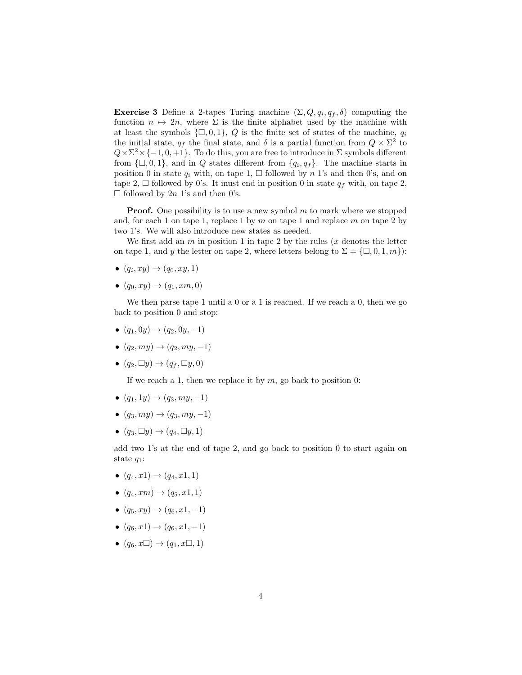**Exercise 3** Define a 2-tapes Turing machine  $(\Sigma, Q, q_i, q_f, \delta)$  computing the function  $n \mapsto 2n$ , where  $\Sigma$  is the finite alphabet used by the machine with at least the symbols  $\{\Box, 0, 1\}$ , Q is the finite set of states of the machine,  $q_i$ the initial state,  $q_f$  the final state, and  $\delta$  is a partial function from  $Q \times \Sigma^2$  to  $Q \times \Sigma^2 \times \{-1, 0, +1\}$ . To do this, you are free to introduce in  $\Sigma$  symbols different from  $\{\Box, 0, 1\}$ , and in Q states different from  $\{q_i, q_f\}$ . The machine starts in position 0 in state  $q_i$  with, on tape 1,  $\Box$  followed by n 1's and then 0's, and on tape 2,  $\Box$  followed by 0's. It must end in position 0 in state  $q_f$  with, on tape 2,  $\Box$  followed by 2n 1's and then 0's.

**Proof.** One possibility is to use a new symbol  $m$  to mark where we stopped and, for each 1 on tape 1, replace 1 by  $m$  on tape 1 and replace  $m$  on tape 2 by two 1's. We will also introduce new states as needed.

We first add an  $m$  in position 1 in tape 2 by the rules  $(x$  denotes the letter on tape 1, and y the letter on tape 2, where letters belong to  $\Sigma = \{\Box, 0, 1, m\}$ :

- $\bullet$   $(q_i, xy) \rightarrow (q_0, xy, 1)$
- $(q_0, xy) \rightarrow (q_1, xm, 0)$

We then parse tape 1 until a 0 or a 1 is reached. If we reach a 0, then we go back to position 0 and stop:

- $(q_1, 0y) \rightarrow (q_2, 0y, -1)$
- $\bullet$   $(q_2, my) \rightarrow (q_2, my, -1)$
- $(q_2, \Box y) \rightarrow (q_f, \Box y, 0)$

If we reach a 1, then we replace it by  $m$ , go back to position 0:

- $(q_1, 1y) \rightarrow (q_3, my, -1)$
- $\bullet$   $(q_3, my) \rightarrow (q_3, my, -1)$
- $(q_3, \Box y) \rightarrow (q_4, \Box y, 1)$

add two 1's at the end of tape 2, and go back to position 0 to start again on state  $q_1$ :

- $(q_4, x_1) \to (q_4, x_1, 1)$
- $(q_4, xm) \rightarrow (q_5, x1, 1)$
- $(q_5, xy) \rightarrow (q_6, x_1, -1)$
- $(q_6, x_1) \rightarrow (q_6, x_1, -1)$
- $\bullet$   $(q_6, x \Box) \rightarrow (q_1, x \Box, 1)$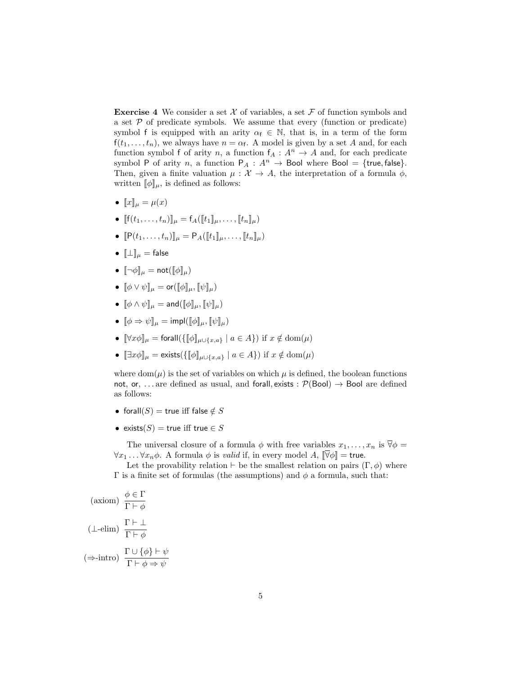**Exercise 4** We consider a set  $\mathcal X$  of variables, a set  $\mathcal F$  of function symbols and a set  $P$  of predicate symbols. We assume that every (function or predicate) symbol f is equipped with an arity  $\alpha_f \in \mathbb{N}$ , that is, in a term of the form  $f(t_1, \ldots, t_n)$ , we always have  $n = \alpha_f$ . A model is given by a set A and, for each function symbol f of arity n, a function  $f_A: A^n \to A$  and, for each predicate symbol P of arity n, a function  $P_A : A^n \to \text{Bool}$  where  $\text{Bool} = \{\text{true}, \text{false}\}.$ Then, given a finite valuation  $\mu : \mathcal{X} \to A$ , the interpretation of a formula  $\phi$ , written  $[\![\phi]\!]_{\mu}$ , is defined as follows:

- $\llbracket x \rrbracket_{\mu} = \mu(x)$
- $[[(t_1, \ldots, t_n)]]_\mu = [A([\![t_1]\!]_\mu, \ldots, [\![t_n]\!]_\mu)$
- $\[P(t_1, \ldots, t_n)\]_\mu = P_A(\llbracket t_1 \rrbracket_\mu, \ldots, \llbracket t_n \rrbracket_\mu)$
- $[\![\bot]\!]_\mu = \mathsf{false}$
- $\lbrack\neg\phi\rbrack\lbrack_\mu = \mathsf{not}(\lbrack\lbrack\phi\rbrack\lbrack_\mu)$
- $\llbracket \phi \lor \psi \rrbracket_u = \mathsf{or}(\llbracket \phi \rrbracket_u, \llbracket \psi \rrbracket_u)$
- $\llbracket \phi \wedge \psi \rrbracket_u = \text{and} (\llbracket \phi \rrbracket_u, \llbracket \psi \rrbracket_u)$
- $\llbracket \phi \Rightarrow \psi \rrbracket_u = \text{impl}(\llbracket \phi \rrbracket_u, \llbracket \psi \rrbracket_u)$
- $[\forall x \phi]_{\mu} = \text{forall}(\{\llbracket \phi \rrbracket_{\mu \cup \{x,a\}} \mid a \in A\}) \text{ if } x \notin \text{dom}(\mu)$
- $[\exists x \phi]_{\mu} = \text{exists}(\{\llbracket \phi \rrbracket_{\mu \cup \{x,a\}} \mid a \in A\})$  if  $x \notin \text{dom}(\mu)$

where dom( $\mu$ ) is the set of variables on which  $\mu$  is defined, the boolean functions not, or, ... are defined as usual, and forall, exists :  $\mathcal{P}(Bool) \rightarrow \text{Bool}$  are defined as follows:

- forall $(S)$  = true iff false  $\notin S$
- exists $(S)$  = true iff true  $\in S$

The universal closure of a formula  $\phi$  with free variables  $x_1, \ldots, x_n$  is  $\overline{\forall} \phi =$  $\forall x_1 \dots \forall x_n \phi$ . A formula  $\phi$  is *valid* if, in every model A,  $\|\overline{\forall}\phi\|$  = true.

Let the provability relation ⊢ be the smallest relation on pairs  $(\Gamma, \phi)$  where Γ is a finite set of formulas (the assumptions) and  $φ$  a formula, such that:

$$
\begin{aligned}\n\text{(axiom)} \quad & \frac{\phi \in \Gamma}{\Gamma \vdash \phi} \\
(\bot - \text{elim}) \quad & \frac{\Gamma \vdash \bot}{\Gamma \vdash \phi} \\
(\Rightarrow \text{-intro}) \quad & \frac{\Gamma \cup \{\phi\} \vdash \psi}{\Gamma \vdash \phi \Rightarrow \psi}\n\end{aligned}
$$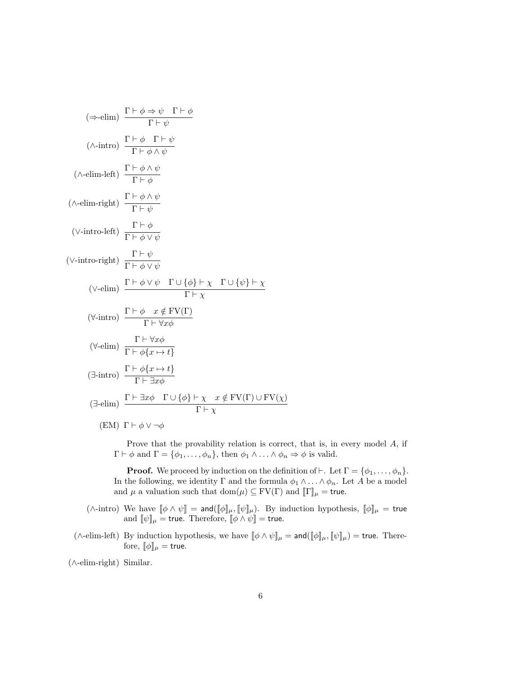$$
(\Rightarrow \text{elim}) \frac{\Gamma \vdash \phi \Rightarrow \psi \quad \Gamma \vdash \phi}{\Gamma \vdash \psi}
$$
\n
$$
(\land \text{-intro}) \frac{\Gamma \vdash \phi \quad \Gamma \vdash \psi}{\Gamma \vdash \phi \land \psi}
$$
\n
$$
(\land \text{-elim-left}) \frac{\Gamma \vdash \phi \land \psi}{\Gamma \vdash \phi}
$$
\n
$$
(\land \text{-elim-right}) \frac{\Gamma \vdash \phi \land \psi}{\Gamma \vdash \psi}
$$
\n
$$
(\lor \text{-intro-left}) \frac{\Gamma \vdash \phi}{\Gamma \vdash \phi \lor \psi}
$$
\n
$$
(\lor \text{-intro-right}) \frac{\Gamma \vdash \phi}{\Gamma \vdash \phi \lor \psi}
$$
\n
$$
(\lor \text{-intro-right}) \frac{\Gamma \vdash \psi}{\Gamma \vdash \phi \lor \psi}
$$
\n
$$
(\lor \text{-elim}) \frac{\Gamma \vdash \phi \lor \psi \quad \Gamma \cup \{\phi\} \vdash \chi \quad \Gamma \cup \{\psi\} \vdash \chi}{\Gamma \vdash \chi}
$$
\n
$$
(\forall \text{-intro}) \frac{\Gamma \vdash \phi \quad x \notin \text{FV}(\Gamma)}{\Gamma \vdash \forall x \phi}
$$
\n
$$
(\forall \text{-elim}) \frac{\Gamma \vdash \forall x \phi}{\Gamma \vdash \phi \{x \mapsto t\}}
$$
\n
$$
(\exists \text{-intro}) \frac{\Gamma \vdash \phi \{x \mapsto t\}}{\Gamma \vdash \exists x \phi}
$$
\n
$$
(\exists \text{-elim}) \frac{\Gamma \vdash \exists x \phi \quad \Gamma \cup \{\phi\} \vdash \chi \quad x \notin \text{FV}(\Gamma) \cup \text{FV}(\chi)}{\Gamma \vdash \chi}
$$
\n
$$
(EM) \Gamma \vdash \phi \lor \neg \phi
$$

Prove that the provability relation is correct, that is, in every model A, if  $\Gamma \vdash \phi$  and  $\Gamma = {\phi_1, \ldots, \phi_n}$ , then  $\phi_1 \wedge \ldots \wedge \phi_n \Rightarrow \phi$  is valid.

**Proof.** We proceed by induction on the definition of ⊢. Let  $\Gamma = \{\phi_1, \ldots, \phi_n\}.$ In the following, we identity  $\Gamma$  and the formula  $\phi_1 \wedge \ldots \wedge \phi_n$ . Let A be a model and  $\mu$  a valuation such that  $dom(\mu) \subseteq FV(\Gamma)$  and  $[\![\Gamma]\!]_{\mu} = \mathsf{true}.$ 

- (∧-intro) We have  $[\![\phi \wedge \psi]\!] = \mathsf{and}([\![\phi]\!]_\mu, [\![\psi]\!]_\mu)$ . By induction hypothesis,  $[\![\phi]\!]_\mu = \mathsf{true}$ and  $[\![\psi]\!]_\mu$  = true. Therefore,  $[\![\phi \wedge \psi]\!]$  = true.
- ( $\wedge$ -elim-left) By induction hypothesis, we have  $[\![\phi \wedge \psi]\!]_\mu = \text{and} (\llbracket \phi \rrbracket_\mu, [\![\psi]\!]_\mu) = \text{true}$ . Therefore,  $[\![\phi]\!]_\mu = \text{true}.$

(∧-elim-right) Similar.